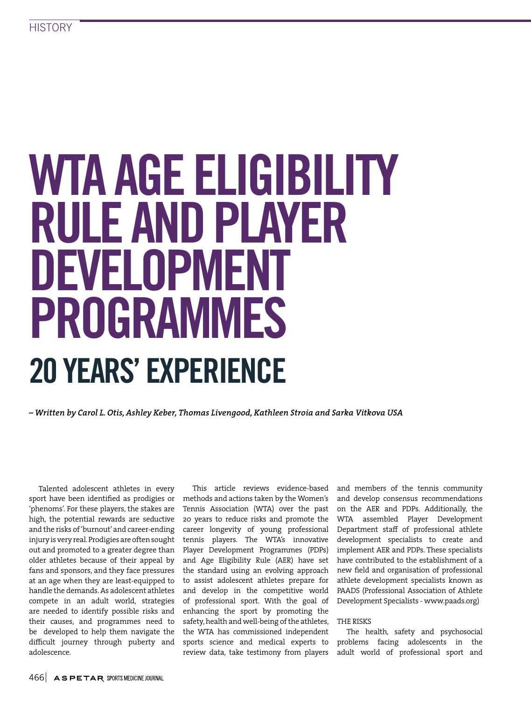# WTA AGE ELIGIBILITY RULE AND PLAYER DEVELOPMENT PROGRAMMES 20 YEARS' EXPERIENCE

*– Written by Carol L. Otis, Ashley Keber, Thomas Livengood, Kathleen Stroia and Sarka Vitkova USA*

Talented adolescent athletes in every sport have been identified as prodigies or 'phenoms'. For these players, the stakes are high, the potential rewards are seductive and the risks of 'burnout' and career-ending injury is very real. Prodigies are often sought out and promoted to a greater degree than older athletes because of their appeal by fans and sponsors, and they face pressures at an age when they are least-equipped to handle the demands. As adolescent athletes compete in an adult world, strategies are needed to identify possible risks and their causes, and programmes need to be developed to help them navigate the difficult journey through puberty and adolescence.

This article reviews evidence-based methods and actions taken by the Women's Tennis Association (WTA) over the past 20 years to reduce risks and promote the career longevity of young professional tennis players. The WTA's innovative Player Development Programmes (PDPs) and Age Eligibility Rule (AER) have set the standard using an evolving approach to assist adolescent athletes prepare for and develop in the competitive world of professional sport. With the goal of enhancing the sport by promoting the safety, health and well-being of the athletes, the WTA has commissioned independent sports science and medical experts to review data, take testimony from players

and members of the tennis community and develop consensus recommendations on the AER and PDPs. Additionally, the WTA assembled Player Development Department staff of professional athlete development specialists to create and implement AER and PDPs. These specialists have contributed to the establishment of a new field and organisation of professional athlete development specialists known as PAADS (Professional Association of Athlete Development Specialists - www.paads.org)

#### THE RISKS

The health, safety and psychosocial problems facing adolescents in the adult world of professional sport and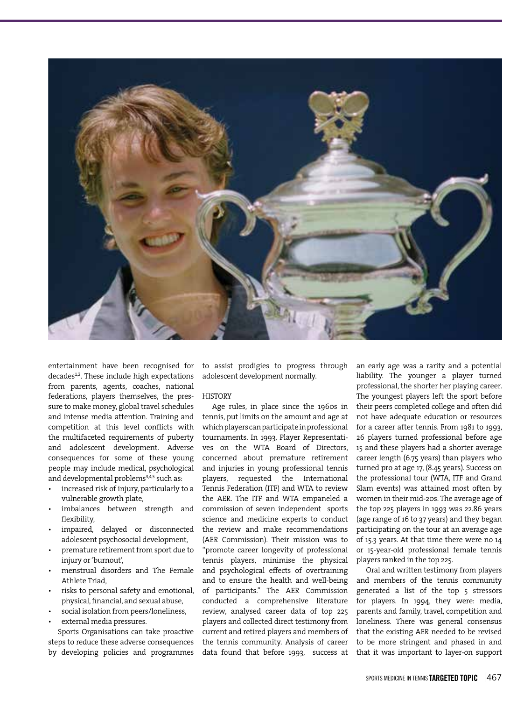

entertainment have been recognised for decades<sup>1,2</sup>. These include high expectations from parents, agents, coaches, national federations, players themselves, the pressure to make money, global travel schedules and intense media attention. Training and competition at this level conflicts with the multifaceted requirements of puberty and adolescent development. Adverse consequences for some of these young people may include medical, psychological and developmental problems<sup>3,4,5</sup> such as:

- increased risk of injury, particularly to a vulnerable growth plate,
- imbalances between strength and flexibility,
- impaired, delayed or disconnected adolescent psychosocial development,
- premature retirement from sport due to injury or 'burnout',
- menstrual disorders and The Female Athlete Triad,
- risks to personal safety and emotional, physical, financial, and sexual abuse,
- social isolation from peers/loneliness,
- external media pressures.

Sports Organisations can take proactive steps to reduce these adverse consequences by developing policies and programmes

to assist prodigies to progress through adolescent development normally.

#### HISTORY

Age rules, in place since the 1960s in tennis, put limits on the amount and age at which players can participate in professional tournaments. In 1993, Player Representatives on the WTA Board of Directors, concerned about premature retirement and injuries in young professional tennis players, requested the International Tennis Federation (ITF) and WTA to review the AER. The ITF and WTA empaneled a commission of seven independent sports science and medicine experts to conduct the review and make recommendations (AER Commission). Their mission was to "promote career longevity of professional tennis players, minimise the physical and psychological effects of overtraining and to ensure the health and well-being of participants." The AER Commission conducted a comprehensive literature review, analysed career data of top 225 players and collected direct testimony from current and retired players and members of the tennis community. Analysis of career data found that before 1993, success at an early age was a rarity and a potential liability. The younger a player turned professional, the shorter her playing career. The youngest players left the sport before their peers completed college and often did not have adequate education or resources for a career after tennis. From 1981 to 1993, 26 players turned professional before age 15 and these players had a shorter average career length (6.75 years) than players who turned pro at age 17, (8.45 years). Success on the professional tour (WTA, ITF and Grand Slam events) was attained most often by women in their mid-20s. The average age of the top 225 players in 1993 was 22.86 years (age range of 16 to 37 years) and they began participating on the tour at an average age of 15.3 years. At that time there were no 14 or 15-year-old professional female tennis players ranked in the top 225.

Oral and written testimony from players and members of the tennis community generated a list of the top 5 stressors for players. In 1994, they were: media, parents and family, travel, competition and loneliness. There was general consensus that the existing AER needed to be revised to be more stringent and phased in and that it was important to layer-on support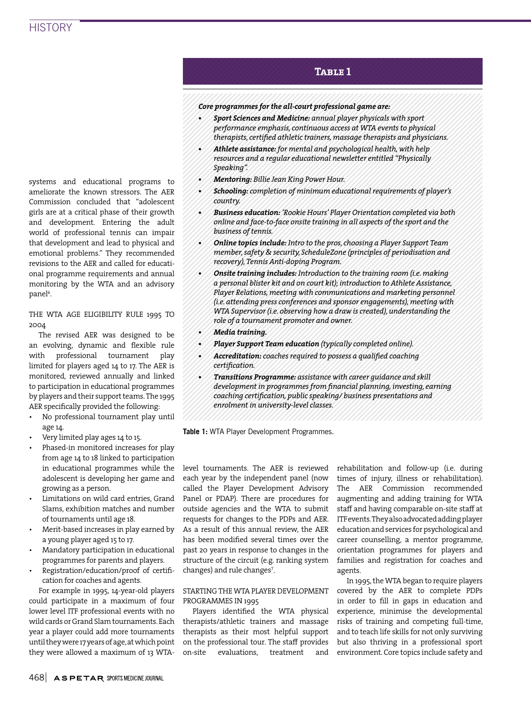# **HISTORY**

systems and educational programs to ameliorate the known stressors. The AER Commission concluded that "adolescent girls are at a critical phase of their growth and development. Entering the adult world of professional tennis can impair that development and lead to physical and emotional problems." They recommended revisions to the AER and called for educational programme requirements and annual monitoring by the WTA and an advisory panel<sup>6</sup>.

THE WTA AGE ELIGIBILITY RULE 1995 TO 2004

The revised AER was designed to be an evolving, dynamic and flexible rule with professional tournament play limited for players aged 14 to 17. The AER is monitored, reviewed annually and linked to participation in educational programmes by players and their support teams. The 1995 AER specifically provided the following:

- No professional tournament play until age 14.
- Very limited play ages 14 to 15.
- Phased-in monitored increases for play from age 14 to 18 linked to participation in educational programmes while the adolescent is developing her game and growing as a person.
- Limitations on wild card entries, Grand Slams, exhibition matches and number of tournaments until age 18.
- Merit-based increases in play earned by a young player aged 15 to 17.
- Mandatory participation in educational programmes for parents and players.
- Registration/education/proof of certification for coaches and agents.

For example in 1995, 14-year-old players could participate in a maximum of four lower level ITF professional events with no wild cards or Grand Slam tournaments. Each year a player could add more tournaments until they were 17 years of age, at which point they were allowed a maximum of 13 WTA-

# **Table 1**

#### *Core programmes for the all-court professional game are:*

- *Sport Sciences and Medicine: annual player physicals with sport performance emphasis, continuous access at WTA events to physical therapists, certified athletic trainers, massage therapists and physicians.*
- *• Athlete assistance: for mental and psychological health, with help resources and a regular educational newsletter entitled "Physically Speaking".*
- *• Mentoring: Billie Jean King Power Hour.*
- *• Schooling: completion of minimum educational requirements of player's country.*
- *• Business education: 'Rookie Hours' Player Orientation completed via both online and face-to-face onsite training in all aspects of the sport and the business of tennis.*
- *• Online topics include: Intro to the pros, choosing a Player Support Team member, safety & security, ScheduleZone (principles of periodisation and recovery), Tennis Anti-doping Program.*
- *Onsite training includes: Introduction to the training room (i.e. making a personal blister kit and on court kit); introduction to Athlete Assistance, Player Relations, meeting with communications and marketing personnel (i.e. attending press conferences and sponsor engagements), meeting with WTA Supervisor (i.e. observing how a draw is created), understanding the role of a tournament promoter and owner.*
- *• Media training.*
- *Player Support Team education* (typically completed online).
- *• Accreditation: coaches required to possess a qualified coaching certification.*
- *• Transitions Programme: assistance with career guidance and skill development in programmes from financial planning, investing, earning coaching certification, public speaking/ business presentations and enrolment in university-level classes.*

**Table 1:** WTA Player Development Programmes.

level tournaments. The AER is reviewed each year by the independent panel (now called the Player Development Advisory Panel or PDAP). There are procedures for outside agencies and the WTA to submit requests for changes to the PDPs and AER. As a result of this annual review, the AER has been modified several times over the past 20 years in response to changes in the structure of the circuit (e.g. ranking system changes) and rule changes<sup>7</sup> .

### STARTING THE WTA PLAYER DEVELOPMENT PROGRAMMES IN 1995

Players identified the WTA physical therapists/athletic trainers and massage therapists as their most helpful support on the professional tour. The staff provides on-site evaluations, treatment and

rehabilitation and follow-up (i.e. during times of injury, illness or rehabilitation). The AER Commission recommended augmenting and adding training for WTA staff and having comparable on-site staff at ITF events. They also advocated adding player education and services for psychological and career counselling, a mentor programme, orientation programmes for players and families and registration for coaches and agents.

In 1995, the WTA began to require players covered by the AER to complete PDPs in order to fill in gaps in education and experience, minimise the developmental risks of training and competing full-time, and to teach life skills for not only surviving but also thriving in a professional sport environment. Core topics include safety and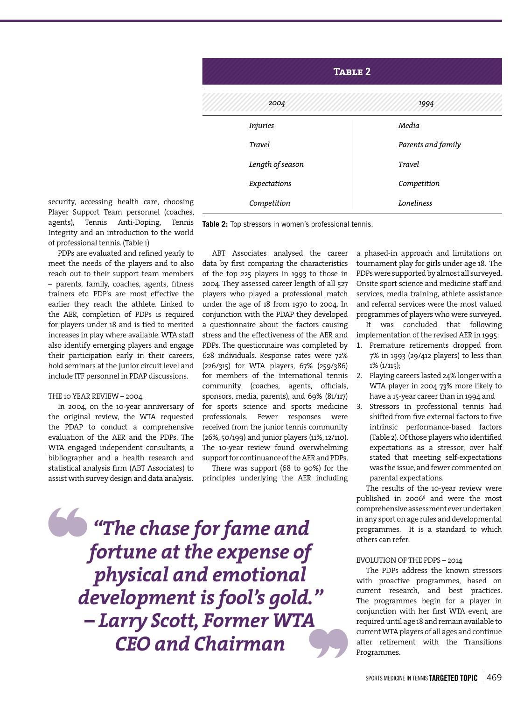| <b>TABLE 2</b>   |                    |  |  |
|------------------|--------------------|--|--|
| 2004             | 1994               |  |  |
| <b>Injuries</b>  | Media              |  |  |
| Travel           | Parents and family |  |  |
| Length of season | Travel             |  |  |
| Expectations     | Competition        |  |  |
| Competition      | Loneliness         |  |  |

security, accessing health care, choosing Player Support Team personnel (coaches, agents), Tennis Anti-Doping, Tennis Integrity and an introduction to the world of professional tennis. (Table 1)

PDPs are evaluated and refined yearly to meet the needs of the players and to also reach out to their support team members – parents, family, coaches, agents, fitness trainers etc. PDP's are most effective the earlier they reach the athlete. Linked to the AER, completion of PDPs is required for players under 18 and is tied to merited increases in play where available. WTA staff also identify emerging players and engage their participation early in their careers, hold seminars at the junior circuit level and include ITF personnel in PDAP discussions.

#### THE 10 YEAR REVIEW – 2004

In 2004, on the 10-year anniversary of the original review, the WTA requested the PDAP to conduct a comprehensive evaluation of the AER and the PDPs. The WTA engaged independent consultants, a bibliographer and a health research and statistical analysis firm (ABT Associates) to assist with survey design and data analysis.

**Table 2:** Top stressors in women's professional tennis.

ABT Associates analysed the career data by first comparing the characteristics of the top 225 players in 1993 to those in 2004. They assessed career length of all 527 players who played a professional match under the age of 18 from 1970 to 2004. In conjunction with the PDAP they developed a questionnaire about the factors causing stress and the effectiveness of the AER and PDPs. The questionnaire was completed by 628 individuals. Response rates were 72% (226/315) for WTA players, 67% (259/386) for members of the international tennis community (coaches, agents, officials, sponsors, media, parents), and 69% (81/117) for sports science and sports medicine professionals. Fewer responses were received from the junior tennis community (26%, 50/199) and junior players (11%, 12/110). The 10-year review found overwhelming support for continuance of the AER and PDPs.

There was support (68 to 90%) for the principles underlying the AER including

*"The chase for fame and fortune at the expense of physical and emotional development is fool's gold." – Larry Scott, Former WTA CEO and Chairman*

a phased-in approach and limitations on tournament play for girls under age 18. The PDPs were supported by almost all surveyed. Onsite sport science and medicine staff and services, media training, athlete assistance and referral services were the most valued programmes of players who were surveyed.

It was concluded that following implementation of the revised AER in 1995:

- 1. Premature retirements dropped from 7% in 1993 (29/412 players) to less than 1% (1/115);
- 2. Playing careers lasted 24% longer with a WTA player in 2004 73% more likely to have a 15-year career than in 1994 and
- 3. Stressors in professional tennis had shifted from five external factors to five intrinsic performance-based factors (Table 2). Of those players who identified expectations as a stressor, over half stated that meeting self-expectations was the issue, and fewer commented on parental expectations.

The results of the 10-year review were published in 2006<sup>8</sup> and were the most comprehensive assessment ever undertaken in any sport on age rules and developmental programmes. It is a standard to which others can refer.

## EVOLUTION OF THE PDPS – 2014

The PDPs address the known stressors with proactive programmes, based on current research, and best practices. The programmes begin for a player in conjunction with her first WTA event, are required until age 18 and remain available to current WTA players of all ages and continue after retirement with the Transitions Programmes.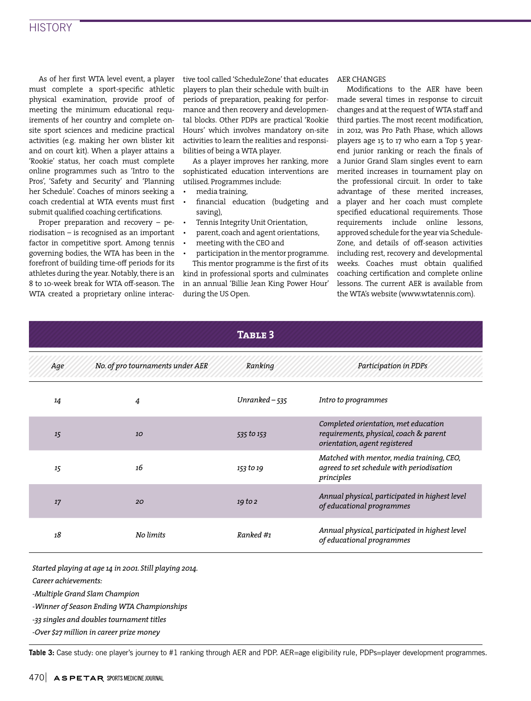## **HISTORY**

As of her first WTA level event, a player must complete a sport-specific athletic physical examination, provide proof of meeting the minimum educational requirements of her country and complete onsite sport sciences and medicine practical activities (e.g. making her own blister kit and on court kit). When a player attains a 'Rookie' status, her coach must complete online programmes such as 'Intro to the Pros', 'Safety and Security' and 'Planning her Schedule'. Coaches of minors seeking a coach credential at WTA events must first submit qualified coaching certifications.

Proper preparation and recovery – periodisation – is recognised as an important factor in competitive sport. Among tennis governing bodies, the WTA has been in the forefront of building time-off periods for its athletes during the year. Notably, there is an 8 to 10-week break for WTA off-season. The WTA created a proprietary online interactive tool called 'ScheduleZone' that educates players to plan their schedule with built-in periods of preparation, peaking for performance and then recovery and developmental blocks. Other PDPs are practical 'Rookie Hours' which involves mandatory on-site activities to learn the realities and responsibilities of being a WTA player.

As a player improves her ranking, more sophisticated education interventions are utilised. Programmes include:

- media training,
- financial education (budgeting and saving),
- Tennis Integrity Unit Orientation,
- parent, coach and agent orientations,
- meeting with the CEO and
- participation in the mentor programme.

This mentor programme is the first of its kind in professional sports and culminates in an annual 'Billie Jean King Power Hour' during the US Open.

#### AER CHANGES

Modifications to the AER have been made several times in response to circuit changes and at the request of WTA staff and third parties. The most recent modification, in 2012, was Pro Path Phase, which allows players age 15 to 17 who earn a Top 5 yearend junior ranking or reach the finals of a Junior Grand Slam singles event to earn merited increases in tournament play on the professional circuit. In order to take advantage of these merited increases, a player and her coach must complete specified educational requirements. Those requirements include online lessons, approved schedule for the year via Schedule-Zone, and details of off-season activities including rest, recovery and developmental weeks. Coaches must obtain qualified coaching certification and complete online lessons. The current AER is available from the WTA's website (www.wtatennis.com).

|               |                                  | TABLE <sub>3</sub> |                                                                                                                 |
|---------------|----------------------------------|--------------------|-----------------------------------------------------------------------------------------------------------------|
| Age           | No. of pro tournaments under AER | Ranking            | Participation in PDPs                                                                                           |
| 14            | 4                                | Unranked $-535$    | Intro to programmes                                                                                             |
| 15            | 10                               | 535 to 153         | Completed orientation, met education<br>requirements, physical, coach & parent<br>orientation, agent registered |
| 15            | 16                               | 153 to 19          | Matched with mentor, media training, CEO,<br>agreed to set schedule with periodisation<br>principles            |
| <sup>17</sup> | 20                               | 19 to 2            | Annual physical, participated in highest level<br>of educational programmes                                     |
| 18            | No limits                        | Ranked #1          | Annual physical, participated in highest level<br>of educational programmes                                     |

*Started playing at age 14 in 2001. Still playing 2014.*

*Career achievements:*

*-Multiple Grand Slam Champion*

*-Winner of Season Ending WTA Championships*

*-33 singles and doubles tournament titles*

*-Over \$27 million in career prize money*

Table 3: Case study: one player's journey to #1 ranking through AER and PDP. AER=age eligibility rule, PDPs=player development programmes.